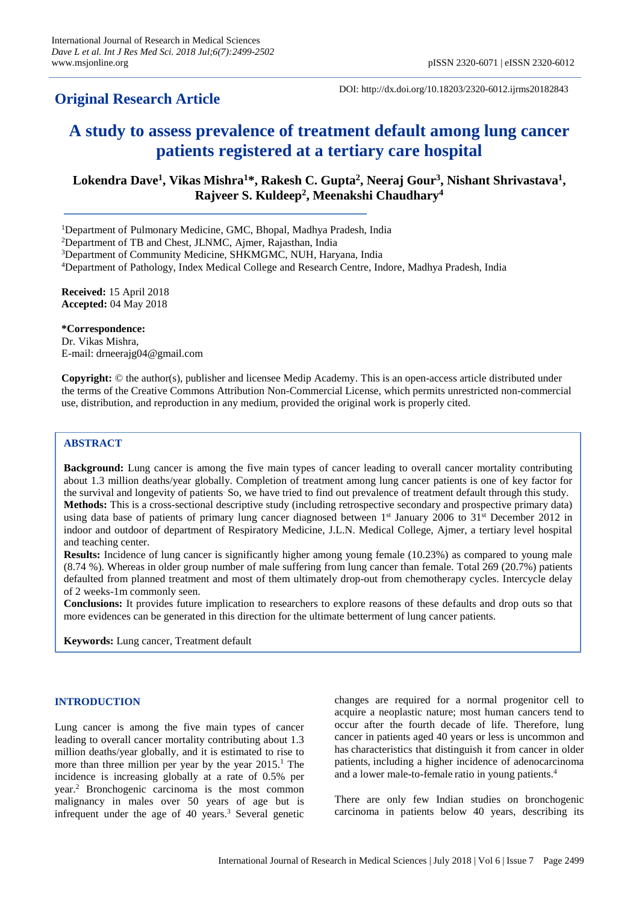# **Original Research Article**

DOI: http://dx.doi.org/10.18203/2320-6012.ijrms20182843

# **A study to assess prevalence of treatment default among lung cancer patients registered at a tertiary care hospital**

**Lokendra Dave<sup>1</sup> , Vikas Mishra<sup>1</sup>\*, Rakesh C. Gupta<sup>2</sup> , Neeraj Gour<sup>3</sup> , Nishant Shrivastava<sup>1</sup> , Rajveer S. Kuldeep<sup>2</sup> , Meenakshi Chaudhary<sup>4</sup>**

<sup>1</sup>Department of Pulmonary Medicine, GMC, Bhopal, Madhya Pradesh, India

<sup>2</sup>Department of TB and Chest, JLNMC, Ajmer, Rajasthan, India

<sup>4</sup>Department of Pathology, Index Medical College and Research Centre, Indore, Madhya Pradesh, India

**Received:** 15 April 2018 **Accepted:** 04 May 2018

**\*Correspondence:** Dr. Vikas Mishra, E-mail: drneerajg04@gmail.com

**Copyright:** © the author(s), publisher and licensee Medip Academy. This is an open-access article distributed under the terms of the Creative Commons Attribution Non-Commercial License, which permits unrestricted non-commercial use, distribution, and reproduction in any medium, provided the original work is properly cited.

# **ABSTRACT**

**Background:** Lung cancer is among the five main types of cancer leading to overall cancer mortality contributing about 1.3 million deaths/year globally. Completion of treatment among lung cancer patients is one of key factor for the survival and longevity of patients. So, we have tried to find out prevalence of treatment default through this study. **Methods:** This is a cross-sectional descriptive study (including retrospective secondary and prospective primary data) using data base of patients of primary lung cancer diagnosed between 1st January 2006 to 31st December 2012 in indoor and outdoor of department of Respiratory Medicine, J.L.N. Medical College, Ajmer, a tertiary level hospital and teaching center.

**Results:** Incidence of lung cancer is significantly higher among young female (10.23%) as compared to young male (8.74 %). Whereas in older group number of male suffering from lung cancer than female. Total 269 (20.7%) patients defaulted from planned treatment and most of them ultimately drop-out from chemotherapy cycles. Intercycle delay of 2 weeks-1m commonly seen.

**Conclusions:** It provides future implication to researchers to explore reasons of these defaults and drop outs so that more evidences can be generated in this direction for the ultimate betterment of lung cancer patients.

**Keywords:** Lung cancer, Treatment default

#### **INTRODUCTION**

Lung cancer is among the five main types of cancer leading to overall cancer mortality contributing about 1.3 million deaths/year globally, and it is estimated to rise to more than three million per year by the year  $2015<sup>1</sup>$ . The incidence is increasing globally at a rate of 0.5% per year. <sup>2</sup> Bronchogenic carcinoma is the most common malignancy in males over 50 years of age but is infrequent under the age of 40 years. <sup>3</sup> Several genetic

changes are required for a normal progenitor cell to acquire a neoplastic nature; most human cancers tend to occur after the fourth decade of life. Therefore, lung cancer in patients aged 40 years or less is uncommon and has characteristics that distinguish it from cancer in older patients, including a higher incidence of adenocarcinoma and a lower male-to-female ratio in young patients. 4

There are only few Indian studies on bronchogenic carcinoma in patients below 40 years, describing its

<sup>&</sup>lt;sup>3</sup>Department of Community Medicine, SHKMGMC, NUH, Haryana, India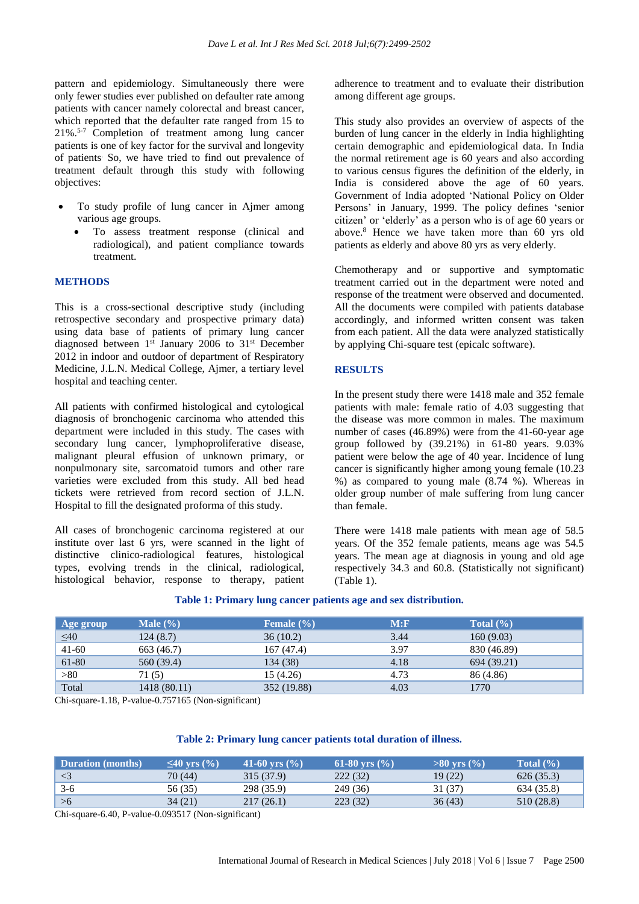pattern and epidemiology. Simultaneously there were only fewer studies ever published on defaulter rate among patients with cancer namely colorectal and breast cancer, which reported that the defaulter rate ranged from 15 to 21%.5-7 Completion of treatment among lung cancer patients is one of key factor for the survival and longevity of patients. So, we have tried to find out prevalence of treatment default through this study with following objectives:

- To study profile of lung cancer in Ajmer among various age groups.
	- To assess treatment response (clinical and radiological), and patient compliance towards treatment.

#### **METHODS**

This is a cross-sectional descriptive study (including retrospective secondary and prospective primary data) using data base of patients of primary lung cancer diagnosed between 1<sup>st</sup> January 2006 to 31<sup>st</sup> December 2012 in indoor and outdoor of department of Respiratory Medicine, J.L.N. Medical College, Ajmer, a tertiary level hospital and teaching center.

All patients with confirmed histological and cytological diagnosis of bronchogenic carcinoma who attended this department were included in this study. The cases with secondary lung cancer, lymphoproliferative disease, malignant pleural effusion of unknown primary, or nonpulmonary site, sarcomatoid tumors and other rare varieties were excluded from this study. All bed head tickets were retrieved from record section of J.L.N. Hospital to fill the designated proforma of this study.

All cases of bronchogenic carcinoma registered at our institute over last 6 yrs, were scanned in the light of distinctive clinico-radiological features, histological types, evolving trends in the clinical, radiological, histological behavior, response to therapy, patient adherence to treatment and to evaluate their distribution among different age groups.

This study also provides an overview of aspects of the burden of lung cancer in the elderly in India highlighting certain demographic and epidemiological data. In India the normal retirement age is 60 years and also according to various census figures the definition of the elderly, in India is considered above the age of 60 years. Government of India adopted 'National Policy on Older Persons' in January, 1999. The policy defines 'senior citizen' or 'elderly' as a person who is of age 60 years or above.<sup>8</sup> Hence we have taken more than 60 yrs old patients as elderly and above 80 yrs as very elderly.

Chemotherapy and or supportive and symptomatic treatment carried out in the department were noted and response of the treatment were observed and documented. All the documents were compiled with patients database accordingly, and informed written consent was taken from each patient. All the data were analyzed statistically by applying Chi-square test (epicalc software).

#### **RESULTS**

In the present study there were 1418 male and 352 female patients with male: female ratio of 4.03 suggesting that the disease was more common in males. The maximum number of cases (46.89%) were from the 41-60-year age group followed by (39.21%) in 61-80 years. 9.03% patient were below the age of 40 year. Incidence of lung cancer is significantly higher among young female (10.23 %) as compared to young male (8.74 %). Whereas in older group number of male suffering from lung cancer than female.

There were 1418 male patients with mean age of 58.5 years. Of the 352 female patients, means age was 54.5 years. The mean age at diagnosis in young and old age respectively 34.3 and 60.8. (Statistically not significant) (Table 1).

#### **Table 1: Primary lung cancer patients age and sex distribution.**

| Age group | Male $(\% )$ | Female $(\% )$ | M: F | Total $(\% )$ |
|-----------|--------------|----------------|------|---------------|
| $\leq 40$ | 124(8.7)     | 36(10.2)       | 3.44 | 160(9.03)     |
| $41 - 60$ | 663 (46.7)   | 167 (47.4)     | 3.97 | 830 (46.89)   |
| 61-80     | 560 (39.4)   | 134 (38)       | 4.18 | 694 (39.21)   |
| >80       | 71 (5)       | 15 (4.26)      | 4.73 | 86 (4.86)     |
| Total     | 1418 (80.11) | 352 (19.88)    | 4.03 | 1770          |

Chi-square-1.18, P-value-0.757165 (Non-significant)

#### **Table 2: Primary lung cancer patients total duration of illness.**

| <b>Duration</b> (months) | $\leq$ 40 vrs (%) | 41-60 yrs $(\% )$ | 61-80 yrs $\frac{6}{6}$ | $>80$ vrs $(\%)$ | Total $(\% )$ |
|--------------------------|-------------------|-------------------|-------------------------|------------------|---------------|
| $\leq$ 3                 | 70 (44)           | 315 (37.9)        | 222 (32)                | 19 (22)          | 626 (35.3)    |
| $3-6$                    | 56 (35)           | 298 (35.9)        | 249 (36)                | 31 (37)          | 634 (35.8)    |
| >6                       | 34(21)            | 217(26.1)         | 223(32)                 | 36(43)           | 510 (28.8)    |

Chi-square-6.40, P-value-0.093517 (Non-significant)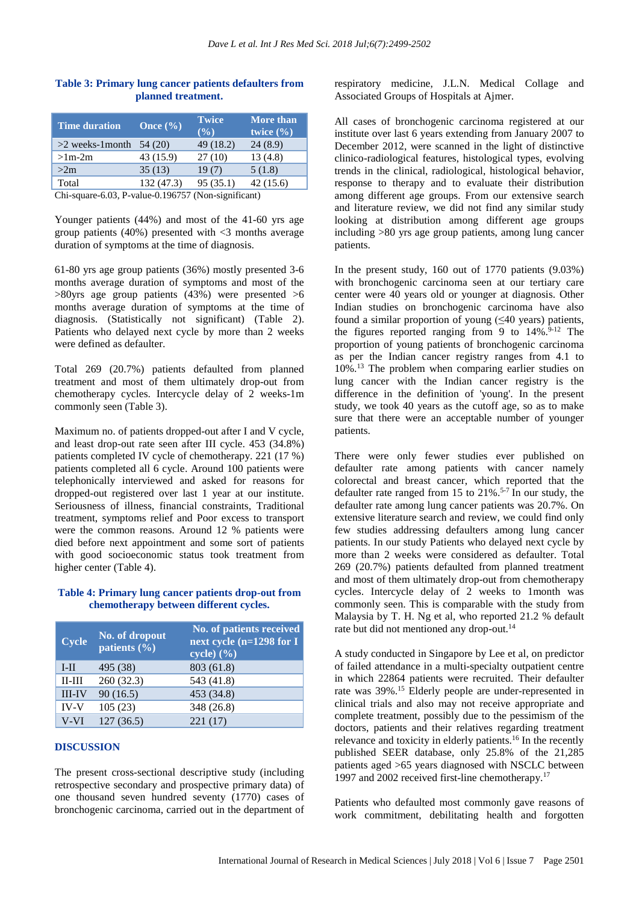| <b>Time duration</b> | Once $(\% )$ | <b>Twice</b><br>$($ %) | <b>More than</b><br>twice $(\% )$ |
|----------------------|--------------|------------------------|-----------------------------------|
| $>2$ weeks-1 month   | 54 (20)      | 49 (18.2)              | 24(8.9)                           |
| $>1m-2m$             | 43 (15.9)    | 27(10)                 | 13 (4.8)                          |
| >2m                  | 35(13)       | 19(7)                  | 5(1.8)                            |
| Total                | 132 (47.3)   | 95(35.1)               | 42(15.6)                          |

## **Table 3: Primary lung cancer patients defaulters from planned treatment.**

Chi-square-6.03, P-value-0.196757 (Non-significant)

Younger patients (44%) and most of the 41-60 yrs age group patients  $(40\%)$  presented with  $\lt 3$  months average duration of symptoms at the time of diagnosis.

61-80 yrs age group patients (36%) mostly presented 3-6 months average duration of symptoms and most of the  $>80$ yrs age group patients (43%) were presented  $>6$ months average duration of symptoms at the time of diagnosis. (Statistically not significant) (Table 2). Patients who delayed next cycle by more than 2 weeks were defined as defaulter.

Total 269 (20.7%) patients defaulted from planned treatment and most of them ultimately drop-out from chemotherapy cycles. Intercycle delay of 2 weeks-1m commonly seen (Table 3).

Maximum no. of patients dropped-out after I and V cycle, and least drop-out rate seen after III cycle. 453 (34.8%) patients completed IV cycle of chemotherapy. 221 (17 %) patients completed all 6 cycle. Around 100 patients were telephonically interviewed and asked for reasons for dropped-out registered over last 1 year at our institute. Seriousness of illness, financial constraints, Traditional treatment, symptoms relief and Poor excess to transport were the common reasons. Around 12 % patients were died before next appointment and some sort of patients with good socioeconomic status took treatment from higher center (Table 4).

#### **Table 4: Primary lung cancer patients drop-out from chemotherapy between different cycles.**

| <b>Cycle</b> | No. of dropout<br>patients $(\% )$ | No. of patients received<br>next cycle (n=1298 for I<br>cycle) $(\% )$ |
|--------------|------------------------------------|------------------------------------------------------------------------|
| $I-II$       | 495 (38)                           | 803 (61.8)                                                             |
| $II-III$     | 260(32.3)                          | 543 (41.8)                                                             |
| $III$ - $IV$ | 90(16.5)                           | 453 (34.8)                                                             |
| <b>IV-V</b>  | 105(23)                            | 348 (26.8)                                                             |
| V-VI         | 127(36.5)                          | 221 (17)                                                               |

#### **DISCUSSION**

The present cross-sectional descriptive study (including retrospective secondary and prospective primary data) of one thousand seven hundred seventy (1770) cases of bronchogenic carcinoma, carried out in the department of respiratory medicine, J.L.N. Medical Collage and Associated Groups of Hospitals at Ajmer.

All cases of bronchogenic carcinoma registered at our institute over last 6 years extending from January 2007 to December 2012, were scanned in the light of distinctive clinico-radiological features, histological types, evolving trends in the clinical, radiological, histological behavior, response to therapy and to evaluate their distribution among different age groups. From our extensive search and literature review, we did not find any similar study looking at distribution among different age groups including >80 yrs age group patients, among lung cancer patients.

In the present study, 160 out of 1770 patients (9.03%) with bronchogenic carcinoma seen at our tertiary care center were 40 years old or younger at diagnosis. Other Indian studies on bronchogenic carcinoma have also found a similar proportion of young (<40 years) patients, the figures reported ranging from 9 to 14%. 9-12 The proportion of young patients of bronchogenic carcinoma as per the Indian cancer registry ranges from 4.1 to 10%. <sup>13</sup> The problem when comparing earlier studies on lung cancer with the Indian cancer registry is the difference in the definition of 'young'. In the present study, we took 40 years as the cutoff age, so as to make sure that there were an acceptable number of younger patients.

There were only fewer studies ever published on defaulter rate among patients with cancer namely colorectal and breast cancer, which reported that the defaulter rate ranged from 15 to  $21\%$ .<sup>5-7</sup> In our study, the defaulter rate among lung cancer patients was 20.7%. On extensive literature search and review, we could find only few studies addressing defaulters among lung cancer patients. In our study Patients who delayed next cycle by more than 2 weeks were considered as defaulter. Total 269 (20.7%) patients defaulted from planned treatment and most of them ultimately drop-out from chemotherapy cycles. Intercycle delay of 2 weeks to 1month was commonly seen. This is comparable with the study from Malaysia by T. H. Ng et al, who reported 21.2 % default rate but did not mentioned any drop-out.<sup>14</sup>

A study conducted in Singapore by Lee et al, on predictor of failed attendance in a multi-specialty outpatient centre in which 22864 patients were recruited. Their defaulter rate was 39%. <sup>15</sup> Elderly people are under-represented in clinical trials and also may not receive appropriate and complete treatment, possibly due to the pessimism of the doctors, patients and their relatives regarding treatment relevance and toxicity in elderly patients.<sup>16</sup> In the recently published SEER database, only 25.8% of the 21,285 patients aged >65 years diagnosed with NSCLC between 1997 and 2002 received first-line chemotherapy.<sup>17</sup>

Patients who defaulted most commonly gave reasons of work commitment, debilitating health and forgotten